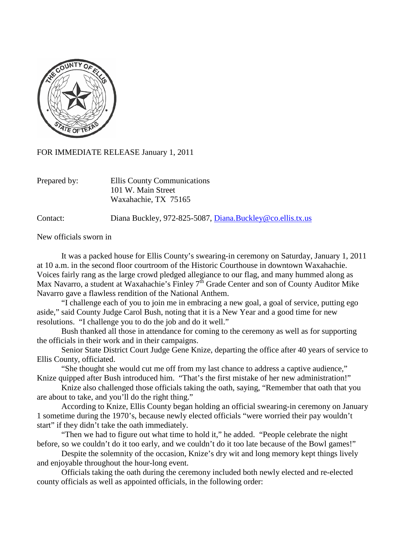

FOR IMMEDIATE RELEASE January 1, 2011

Prepared by: Ellis County Communications 101 W. Main Street Waxahachie, TX 75165

Contact: Diana Buckley, 972-825-5087, [Diana.Buckley@co.ellis.tx.us](mailto:Diana.Buckley@co.ellis.tx.us)

New officials sworn in

It was a packed house for Ellis County's swearing-in ceremony on Saturday, January 1, 2011 at 10 a.m. in the second floor courtroom of the Historic Courthouse in downtown Waxahachie. Voices fairly rang as the large crowd pledged allegiance to our flag, and many hummed along as Max Navarro, a student at Waxahachie's Finley  $7^{\text{th}}$  Grade Center and son of County Auditor Mike Navarro gave a flawless rendition of the National Anthem.

"I challenge each of you to join me in embracing a new goal, a goal of service, putting ego aside," said County Judge Carol Bush, noting that it is a New Year and a good time for new resolutions. "I challenge you to do the job and do it well."

Bush thanked all those in attendance for coming to the ceremony as well as for supporting the officials in their work and in their campaigns.

Senior State District Court Judge Gene Knize, departing the office after 40 years of service to Ellis County, officiated.

"She thought she would cut me off from my last chance to address a captive audience," Knize quipped after Bush introduced him. "That's the first mistake of her new administration!"

Knize also challenged those officials taking the oath, saying, "Remember that oath that you are about to take, and you'll do the right thing."

According to Knize, Ellis County began holding an official swearing-in ceremony on January 1 sometime during the 1970's, because newly elected officials "were worried their pay wouldn't start" if they didn't take the oath immediately.

"Then we had to figure out what time to hold it," he added. "People celebrate the night before, so we couldn't do it too early, and we couldn't do it too late because of the Bowl games!"

Despite the solemnity of the occasion, Knize's dry wit and long memory kept things lively and enjoyable throughout the hour-long event.

Officials taking the oath during the ceremony included both newly elected and re-elected county officials as well as appointed officials, in the following order: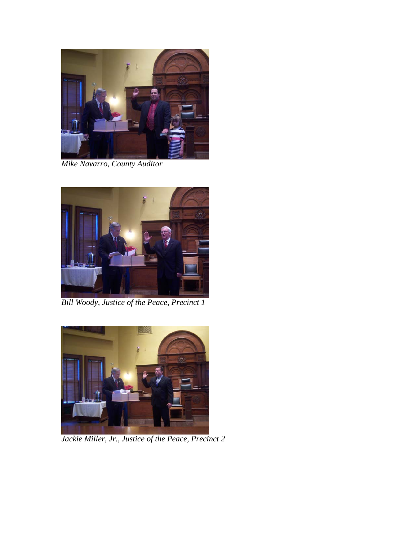

*Mike Navarro, County Auditor*



*Bill Woody, Justice of the Peace, Precinct 1*



*Jackie Miller, Jr., Justice of the Peace, Precinct 2*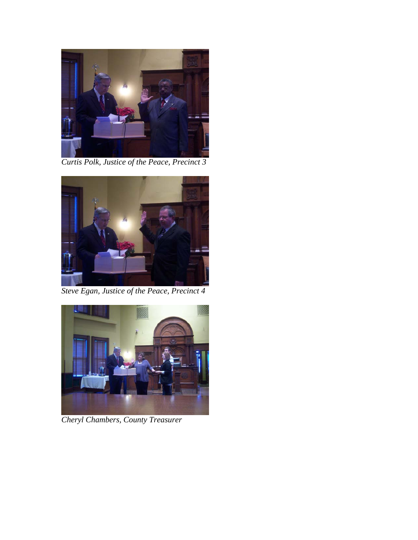

*Curtis Polk, Justice of the Peace, Precinct 3*



*Steve Egan, Justice of the Peace, Precinct 4*



*Cheryl Chambers, County Treasurer*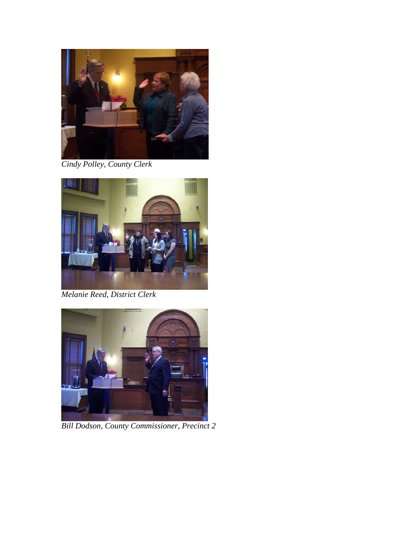

*Cindy Polley, County Clerk*



*Melanie Reed, District Clerk*



*Bill Dodson, County Commissioner, Precinct 2*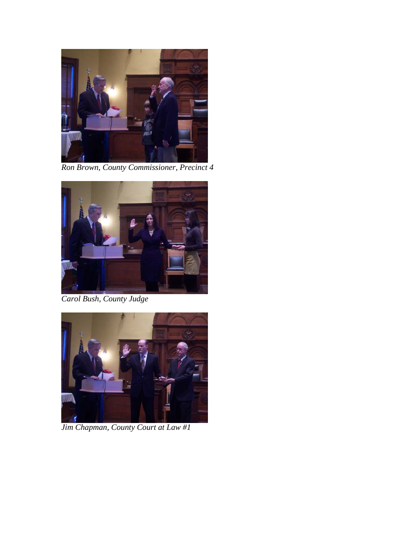

*Ron Brown, County Commissioner, Precinct 4*



*Carol Bush, County Judge*



*Jim Chapman, County Court at Law #1*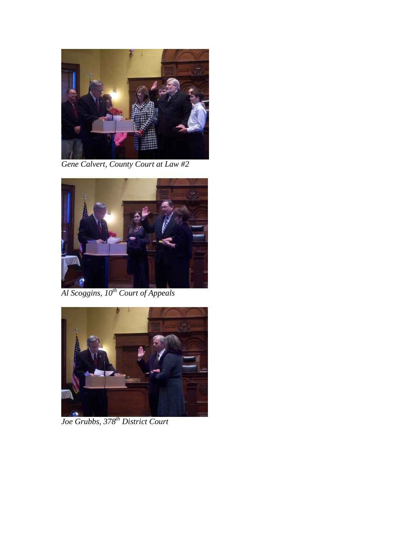

*Gene Calvert, County Court at Law #2*



*Al Scoggins, 10th Court of Appeals*



*Joe Grubbs, 378th District Court*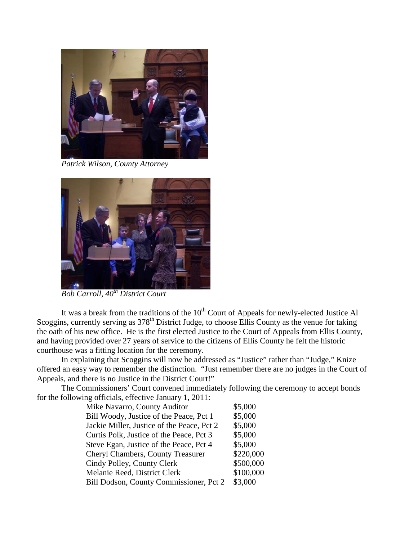

*Patrick Wilson, County Attorney*



*Bob Carroll, 40th District Court*

It was a break from the traditions of the  $10<sup>th</sup>$  Court of Appeals for newly-elected Justice Al Scoggins, currently serving as 378<sup>th</sup> District Judge, to choose Ellis County as the venue for taking the oath of his new office. He is the first elected Justice to the Court of Appeals from Ellis County, and having provided over 27 years of service to the citizens of Ellis County he felt the historic courthouse was a fitting location for the ceremony.

In explaining that Scoggins will now be addressed as "Justice" rather than "Judge," Knize offered an easy way to remember the distinction. "Just remember there are no judges in the Court of Appeals, and there is no Justice in the District Court!"

The Commissioners' Court convened immediately following the ceremony to accept bonds for the following officials, effective January 1, 2011:

| Mike Navarro, County Auditor               | \$5,000   |
|--------------------------------------------|-----------|
| Bill Woody, Justice of the Peace, Pct 1    | \$5,000   |
| Jackie Miller, Justice of the Peace, Pct 2 | \$5,000   |
| Curtis Polk, Justice of the Peace, Pct 3   | \$5,000   |
| Steve Egan, Justice of the Peace, Pct 4    | \$5,000   |
| <b>Cheryl Chambers, County Treasurer</b>   | \$220,000 |
| Cindy Polley, County Clerk                 | \$500,000 |
| Melanie Reed, District Clerk               | \$100,000 |
| Bill Dodson, County Commissioner, Pct 2    | \$3,000   |
|                                            |           |